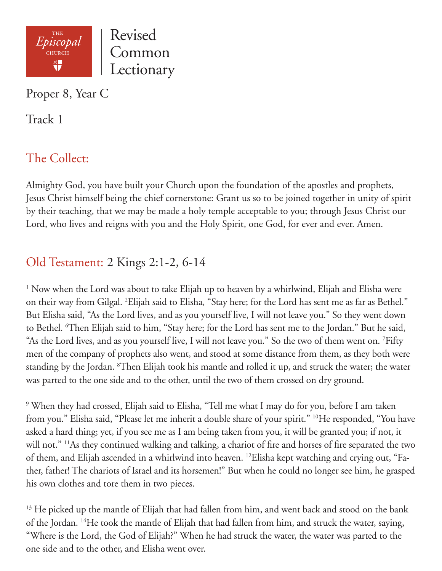

Proper 8, Year C

Track 1

# The Collect:

Almighty God, you have built your Church upon the foundation of the apostles and prophets, Jesus Christ himself being the chief cornerstone: Grant us so to be joined together in unity of spirit by their teaching, that we may be made a holy temple acceptable to you; through Jesus Christ our Lord, who lives and reigns with you and the Holy Spirit, one God, for ever and ever. Amen.

## Old Testament: 2 Kings 2:1-2, 6-14

<sup>1</sup> Now when the Lord was about to take Elijah up to heaven by a whirlwind, Elijah and Elisha were on their way from Gilgal. 2 Elijah said to Elisha, "Stay here; for the Lord has sent me as far as Bethel." But Elisha said, "As the Lord lives, and as you yourself live, I will not leave you." So they went down to Bethel. <sup>6</sup>Then Elijah said to him, "Stay here; for the Lord has sent me to the Jordan." But he said, "As the Lord lives, and as you yourself live, I will not leave you." So the two of them went on. 7 Fifty men of the company of prophets also went, and stood at some distance from them, as they both were standing by the Jordan. <sup>8</sup>Then Elijah took his mantle and rolled it up, and struck the water; the water was parted to the one side and to the other, until the two of them crossed on dry ground.

<sup>9</sup> When they had crossed, Elijah said to Elisha, "Tell me what I may do for you, before I am taken from you." Elisha said, "Please let me inherit a double share of your spirit." <sup>10</sup>He responded, "You have asked a hard thing; yet, if you see me as I am being taken from you, it will be granted you; if not, it will not." <sup>11</sup>As they continued walking and talking, a chariot of fire and horses of fire separated the two of them, and Elijah ascended in a whirlwind into heaven. 12Elisha kept watching and crying out, "Father, father! The chariots of Israel and its horsemen!" But when he could no longer see him, he grasped his own clothes and tore them in two pieces.

 $^{13}$  He picked up the mantle of Elijah that had fallen from him, and went back and stood on the bank of the Jordan. 14He took the mantle of Elijah that had fallen from him, and struck the water, saying, "Where is the Lord, the God of Elijah?" When he had struck the water, the water was parted to the one side and to the other, and Elisha went over.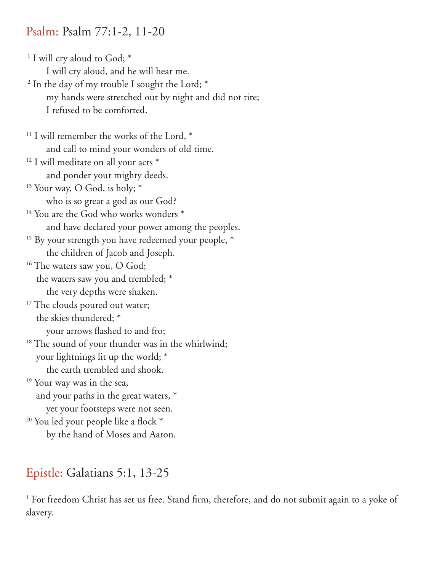#### Psalm: Psalm 77:1-2, 11-20

<sup>1</sup> I will cry aloud to God; \* I will cry aloud, and he will hear me. <sup>2</sup> In the day of my trouble I sought the Lord; \* my hands were stretched out by night and did not tire; I refused to be comforted. <sup>11</sup> I will remember the works of the Lord,  $*$  and call to mind your wonders of old time.  $12$  I will meditate on all your acts  $*$  and ponder your mighty deeds. <sup>13</sup> Your way, O God, is holy; \* who is so great a god as our God? <sup>14</sup> You are the God who works wonders \* and have declared your power among the peoples. <sup>15</sup> By your strength you have redeemed your people,  $*$  the children of Jacob and Joseph. <sup>16</sup> The waters saw you, O God; the waters saw you and trembled; \* the very depths were shaken. <sup>17</sup> The clouds poured out water; the skies thundered; \* your arrows flashed to and fro; <sup>18</sup> The sound of your thunder was in the whirlwind; your lightnings lit up the world; \* the earth trembled and shook. <sup>19</sup> Your way was in the sea, and your paths in the great waters, \* yet your footsteps were not seen. <sup>20</sup> You led your people like a flock \* by the hand of Moses and Aaron.

## Epistle: Galatians 5:1, 13-25

<sup>1</sup> For freedom Christ has set us free. Stand firm, therefore, and do not submit again to a yoke of slavery.